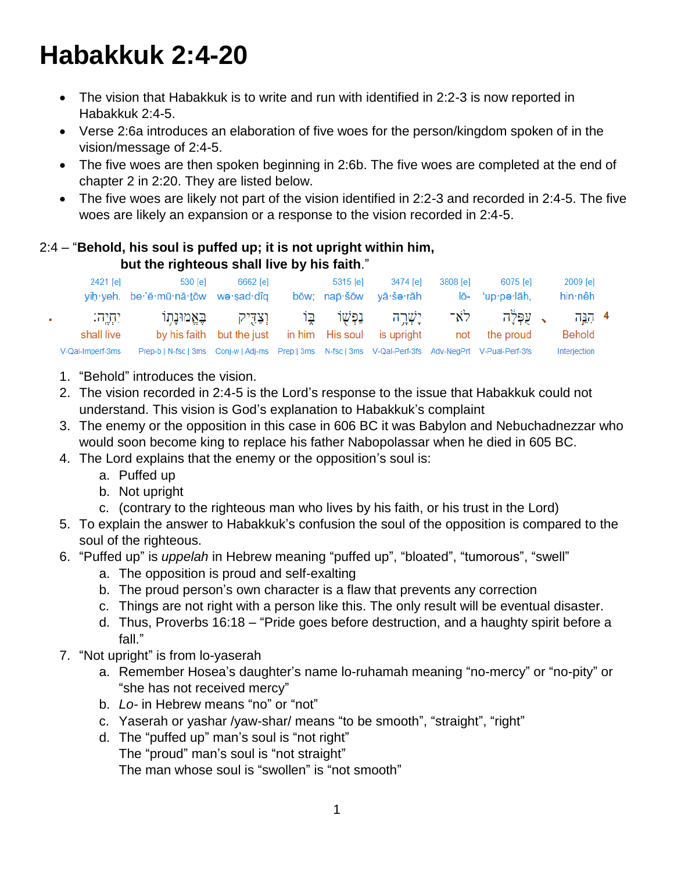# **Habakkuk 2:4-20**

- The vision that Habakkuk is to write and run with identified in 2:2-3 is now reported in Habakkuk 2:4-5.
- Verse 2:6a introduces an elaboration of five woes for the person/kingdom spoken of in the vision/message of 2:4-5.
- The five woes are then spoken beginning in 2:6b. The five woes are completed at the end of chapter 2 in 2:20. They are listed below.
- The five woes are likely not part of the vision identified in 2:2-3 and recorded in 2:4-5. The five woes are likely an expansion or a response to the vision recorded in 2:4-5.

#### 2:4 – "**Behold, his soul is puffed up; it is not upright within him, but the righteous shall live by his faith**."

| 2421 [e]               | 530 [e]<br>yih yeh. be 'ĕ mū nā tōw we sad dîq                                                        | 6662 [e]                                                   | 5315 lel | 3474 lel<br>bōw: nap·šōw vā·še·rāh       | 3808 [e] | 6075 [e]<br>lō- 'up·pə·lāh, | 2009 [e]<br>hin nêh |  |
|------------------------|-------------------------------------------------------------------------------------------------------|------------------------------------------------------------|----------|------------------------------------------|----------|-----------------------------|---------------------|--|
| יִתְיֶה:<br>shall live |                                                                                                       | וצדיק באמונתו<br>by his faith but the just in him His soul |          | יַשָּׁרֵה נַפִּשָׁוֹ בֵּוֹ<br>is upright |          | ג עפלה לא־<br>not the proud | 4 بريہ<br>Behold    |  |
| V-Qal-Imperf-3ms       | Prep-b   N-fsc   3ms Conj-w   Adj-ms Prep   3ms N-fsc   3ms V-Qal-Perf-3fs Adv-NegPrt V-Pual-Perf-3fs |                                                            |          |                                          |          |                             | Interjection        |  |

- 1. "Behold" introduces the vision.
- 2. The vision recorded in 2:4-5 is the Lord's response to the issue that Habakkuk could not understand. This vision is God's explanation to Habakkuk's complaint
- 3. The enemy or the opposition in this case in 606 BC it was Babylon and Nebuchadnezzar who would soon become king to replace his father Nabopolassar when he died in 605 BC.
- 4. The Lord explains that the enemy or the opposition's soul is:
	- a. Puffed up
	- b. Not upright
	- c. (contrary to the righteous man who lives by his faith, or his trust in the Lord)
- 5. To explain the answer to Habakkuk's confusion the soul of the opposition is compared to the soul of the righteous.
- 6. "Puffed up" is *uppelah* in Hebrew meaning "puffed up", "bloated", "tumorous", "swell"
	- a. The opposition is proud and self-exalting
	- b. The proud person's own character is a flaw that prevents any correction
	- c. Things are not right with a person like this. The only result will be eventual disaster.
	- d. Thus, Proverbs 16:18 "Pride goes before destruction, and a haughty spirit before a fall."
- 7. "Not upright" is from lo-yaserah
	- a. Remember Hosea's daughter's name lo-ruhamah meaning "no-mercy" or "no-pity" or "she has not received mercy"
	- b. *Lo-* in Hebrew means "no" or "not"
	- c. Yaserah or yashar /yaw-shar/ means "to be smooth", "straight", "right"
	- d. The "puffed up" man's soul is "not right" The "proud" man's soul is "not straight" The man whose soul is "swollen" is "not smooth"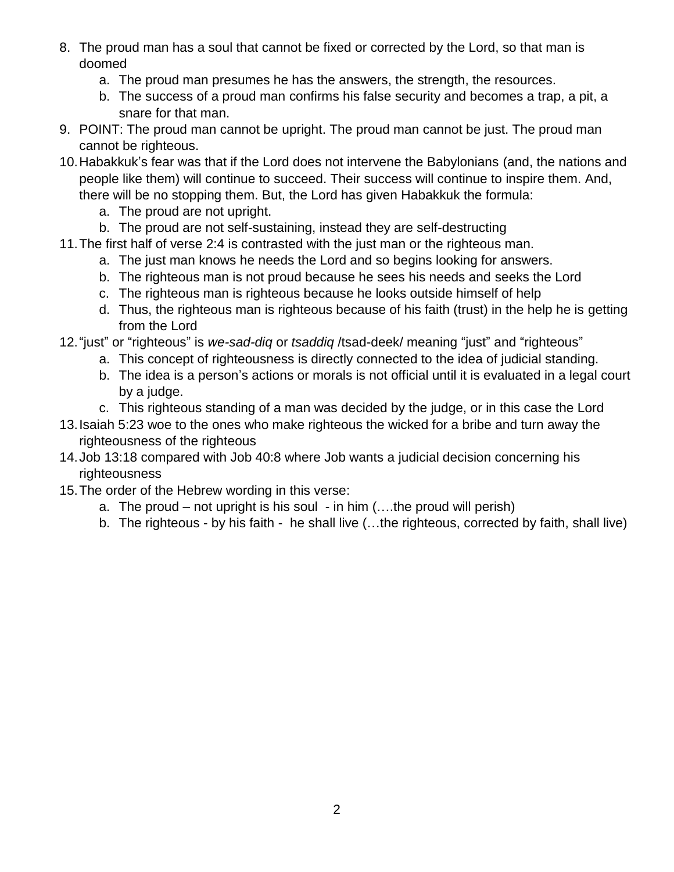- 8. The proud man has a soul that cannot be fixed or corrected by the Lord, so that man is doomed
	- a. The proud man presumes he has the answers, the strength, the resources.
	- b. The success of a proud man confirms his false security and becomes a trap, a pit, a snare for that man.
- 9. POINT: The proud man cannot be upright. The proud man cannot be just. The proud man cannot be righteous.
- 10.Habakkuk's fear was that if the Lord does not intervene the Babylonians (and, the nations and people like them) will continue to succeed. Their success will continue to inspire them. And, there will be no stopping them. But, the Lord has given Habakkuk the formula:
	- a. The proud are not upright.
	- b. The proud are not self-sustaining, instead they are self-destructing
- 11.The first half of verse 2:4 is contrasted with the just man or the righteous man.
	- a. The just man knows he needs the Lord and so begins looking for answers.
	- b. The righteous man is not proud because he sees his needs and seeks the Lord
	- c. The righteous man is righteous because he looks outside himself of help
	- d. Thus, the righteous man is righteous because of his faith (trust) in the help he is getting from the Lord
- 12."just" or "righteous" is *we-sad-diq* or *tsaddiq* /tsad-deek/ meaning "just" and "righteous"
	- a. This concept of righteousness is directly connected to the idea of judicial standing.
	- b. The idea is a person's actions or morals is not official until it is evaluated in a legal court by a judge.
	- c. This righteous standing of a man was decided by the judge, or in this case the Lord
- 13.Isaiah 5:23 woe to the ones who make righteous the wicked for a bribe and turn away the righteousness of the righteous
- 14.Job 13:18 compared with Job 40:8 where Job wants a judicial decision concerning his **righteousness**
- 15.The order of the Hebrew wording in this verse:
	- a. The proud not upright is his soul in him (….the proud will perish)
	- b. The righteous by his faith he shall live (…the righteous, corrected by faith, shall live)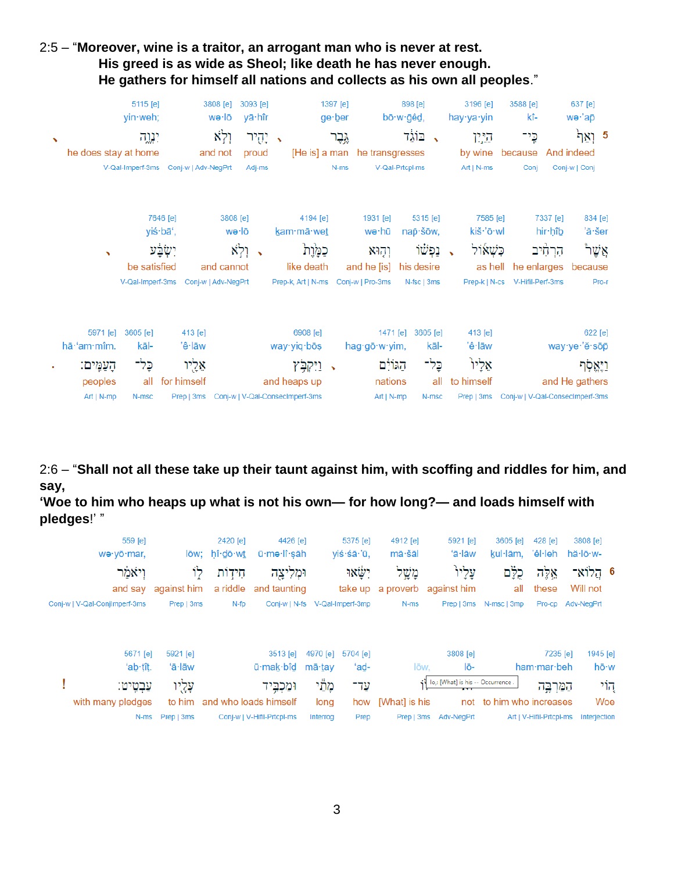### 2:5 – "**Moreover, wine is a traitor, an arrogant man who is never at rest. His greed is as wide as Sheol; like death he has never enough. He gathers for himself all nations and collects as his own all peoples**."

|                       | yin weh;              | 5115 [e]             | 3808 [e]<br>wə∙lō                          | 3093 [e]<br>yā∙hîr  |               |                                     | 1397 [e]<br>ge∙ber |                               | 898 [e]<br>bō∙w∙ğêd, |                          | 3196 [e]<br>hay∙ya∙yin      | 3588 [e]<br>kî-                            |                     | 637 [e]<br>wə·'ap                |  |
|-----------------------|-----------------------|----------------------|--------------------------------------------|---------------------|---------------|-------------------------------------|--------------------|-------------------------------|----------------------|--------------------------|-----------------------------|--------------------------------------------|---------------------|----------------------------------|--|
| $\tilde{\phantom{a}}$ |                       | יגוה                 | וְלְא                                      | יְהֻיר              | $\rightarrow$ |                                     | גֶּבֶר             |                               | בוֹגֵד               | $\overline{\phantom{a}}$ | היוו                        | כֶי־                                       |                     | <sup>5</sup> וְאַך <sup>ַּ</sup> |  |
|                       | he does stay at home  |                      | and not                                    | proud               |               |                                     |                    | [He is] a man he transgresses |                      |                          | by wine                     | because                                    |                     | And indeed                       |  |
|                       |                       |                      | V-Qal-Imperf-3ms Conj-w   Adv-NegPrt       | Adj-ms              |               |                                     | $N-ms$             |                               | V-Qal-Prtcpl-ms      |                          | Art   N-ms                  | Conj                                       |                     | Conj-w   Conj                    |  |
|                       |                       | 7646 [e]<br>yiś·bā', |                                            | 3808 [e]<br>wə·lō   |               | 4194 [e]<br>kam·mā·wet              |                    | 1931 [e]<br>wə∙hū             | nap · šōw,           | 5315 [e]                 | 7585 [e]<br>kiš·'ō·wl       |                                            | 7337 [e]<br>hir hîb | 834 [e]<br>'ă·šer                |  |
|                       |                       |                      |                                            |                     |               |                                     |                    |                               |                      |                          |                             |                                            |                     |                                  |  |
|                       | $\tilde{\phantom{a}}$ | ישְׂבָע              |                                            | וְלְא<br>$\sqrt{2}$ |               | כֿמָּרָת                            |                    | וְהָוּא                       |                      | נִפְשׁוֹ                 | ֹכִשְׁאוֹל<br>$\rightarrow$ |                                            | הַרְחִיּב           | ֿאֲשֶׁר                          |  |
|                       |                       | be satisfied         | and cannot                                 |                     |               | like death                          |                    | and he [is]                   | his desire           |                          |                             | as hell<br>he enlarges                     |                     | because                          |  |
|                       |                       | V-Qal-Imperf-3ms     | Conj-w   Adv-NegPrt                        |                     |               | Prep-k, Art   N-ms Conj-w   Pro-3ms |                    |                               | N-fsc   3ms          |                          |                             | Prep-k   N-cs V-Hifil-Perf-3ms             |                     | Pro-r                            |  |
|                       | 5971 [e]<br>3605 [e]  |                      | 413 [e]                                    |                     |               | 6908 [e]                            |                    | 1471 [e]                      |                      | 3605 [e]                 | 413 [e]                     |                                            |                     | 622 [e]                          |  |
|                       | hā·'am·mîm.           | kāl-                 | 'ê∙lāw                                     |                     |               | way yiq bos                         |                    | hag·gō·w·yim,                 |                      | kāl-                     | 'ê∙lāw                      |                                            |                     | way ye 'ĕ sōp                    |  |
|                       | הַעֲמֶים:             | כָּל־                | אֵלֻיו                                     |                     |               | וַיִּקְבְּ֫ץ<br>$\rightarrow$       |                    | הגולם                         |                      | כָּלִ־                   | אֵלִיוּ                     |                                            |                     | וַיֵּאֱסְׁר                      |  |
|                       | peoples               | all                  | for himself                                |                     |               | and heaps up                        |                    | nations                       |                      | all                      | to himself                  |                                            |                     | and He gathers                   |  |
|                       | Art   N-mp            | N-msc                | Prep   3ms Conj-w   V-Qal-Consecimperf-3ms |                     |               |                                     |                    | Art   N-mp                    |                      | N-msc                    |                             | Prep   3ms Conj-w   V-Qal-ConsecImperf-3ms |                     |                                  |  |

2:6 – "**Shall not all these take up their taunt against him, with scoffing and riddles for him, and say,** 

**'Woe to him who heaps up what is not his own— for how long?— and loads himself with pledges**!' "

|        | 559 [e]                          |                      | 2420 [e]      | 4426 [e]                       |                    | 5375 [e]         | 4912 [e]      | 5921 [e]                                         | 3605 [e]                 | $428$ [e]               | 3808 [e]     |                  |
|--------|----------------------------------|----------------------|---------------|--------------------------------|--------------------|------------------|---------------|--------------------------------------------------|--------------------------|-------------------------|--------------|------------------|
|        | we·yō·mar,                       |                      | lōw; hî·dō·wt | ū·mə·lî·sāh                    |                    | viś·śā·'ū,       | mā·šāl        | 'ā·lāw                                           | kul·lām, 'êl·leh         |                         | hă·lō·w-     |                  |
| וִיאמר |                                  | לוֹ                  | חֵידִוֹת      | וּמְלִיצַה                     |                    | ישאו             | מְשָׁל        | עָלְיו                                           | כֻלֶּם                   | אֵלֶה                   | 6 הֱלוֹא־    |                  |
|        | and say                          | against him          | a riddle      | and taunting                   |                    |                  |               | take up a proverb against him                    | all                      | these                   | Will not     |                  |
|        | Conj-w   V-Qal-ConjImperf-3ms    | Prep   3ms           | $N$ -fp       | Conj-w   N-fs V-Qal-Imperf-3mp |                    |                  | N-ms          |                                                  | Prep   3ms N-msc   3mp   | Pro-cp                  | Adv-NegPrt   |                  |
|        | $5671$ [e]<br>'ab $\ddagger$ it. | $5921$ [e]<br>'ā·lāw |               | $3513$ [e]<br>ū·mak·bîd        | 4970 [e]<br>mā∙tav | 5704 [e]<br>'ad- | lōw.          | 3808 [e]<br>lō-                                  |                          | 7235 [e]<br>ham mar beh |              | 1945 [e]<br>hō∙w |
|        | עַבְטֵיט:                        | עָלֵיו               |               | ומכִבִּיד                      | מְתַּי             | עַד־             |               | (1 lo,: [What] is his -- Occurrence.<br>$\cdots$ |                          | הַמַּרְבֵה              |              | קוֹי             |
|        | with many pledges                | to him               |               | and who loads himself          | long               | how              | [What] is his |                                                  | not to him who increases |                         |              | Woe              |
|        | N-ms                             | Prep   3ms           |               | Conj-w   V-Hifil-Prtcpl-ms     | Interrog           | Prep             |               | Prep   3ms Adv-NegPrt                            |                          | Art   V-Hifil-Prtcpl-ms | Interjection |                  |